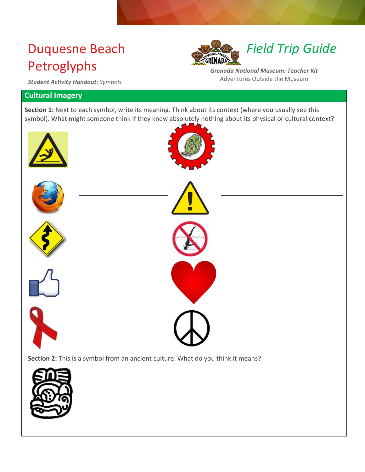# Duquesne Beach Petroglyphs



*Field Trip Guide*

*Grenada National Museum: Teacher Kit* Adventures Outside the Museum

*Student Activity Handout: Symbols*

### **Cultural Imagery**

Section 1: Next to each symbol, write its meaning. Think about its context (where you usually see this symbol). What might someone think if they knew absolutely nothing about its physical or cultural context?